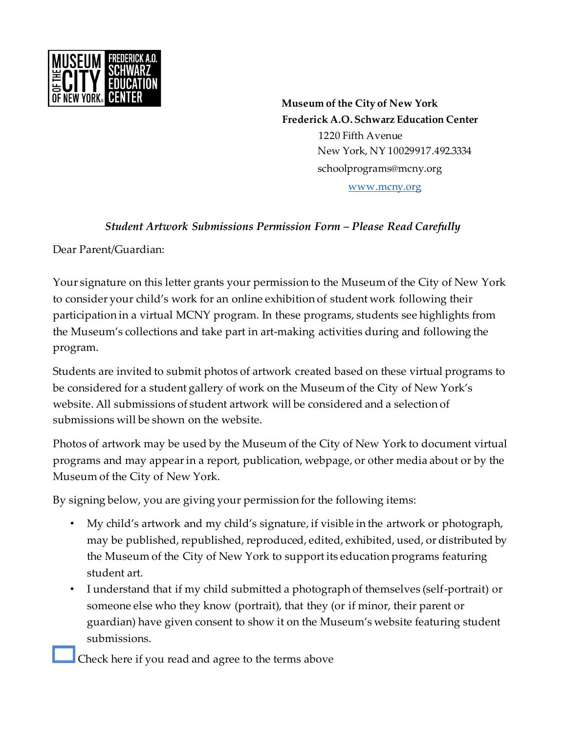

**Museum of the City of New York Frederick A.O. Schwarz Education Center** 1220 Fifth Avenue New York, NY 10029917.492.3334 schoolprograms@mcny.org www.mcny.org

## *Student Artwork Submissions Permission Form – Please Read Carefully*

Dear Parent/Guardian:

Your signature on this letter grants your permission to the Museum of the City of New York to consider your child's work for an online exhibition of student work following their participation in a virtual MCNY program. In these programs, students see highlights from the Museum's collections and take part in art-making activities during and following the program.

Students are invited to submit photos of artwork created based on these virtual programs to be considered for a student gallery of work on the Museum of the City of New York's website. All submissions of student artwork will be considered and a selection of submissions will be shown on the website.

Photos of artwork may be used by the Museum of the City of New York to document virtual programs and may appear in a report, publication, webpage, or other media about or by the Museum of the City of New York.

By signing below, you are giving your permission for the following items:

- My child's artwork and my child's signature, if visible in the artwork or photograph, may be published, republished, reproduced, edited, exhibited, used, or distributed by the Museum of the City of New York to support its education programs featuring student art.
- I understand that if my child submitted a photograph of themselves (self-portrait) or someone else who they know (portrait), that they (or if minor, their parent or guardian) have given consent to show it on the Museum's website featuring student submissions.
- Check here if you read and agree to the terms above